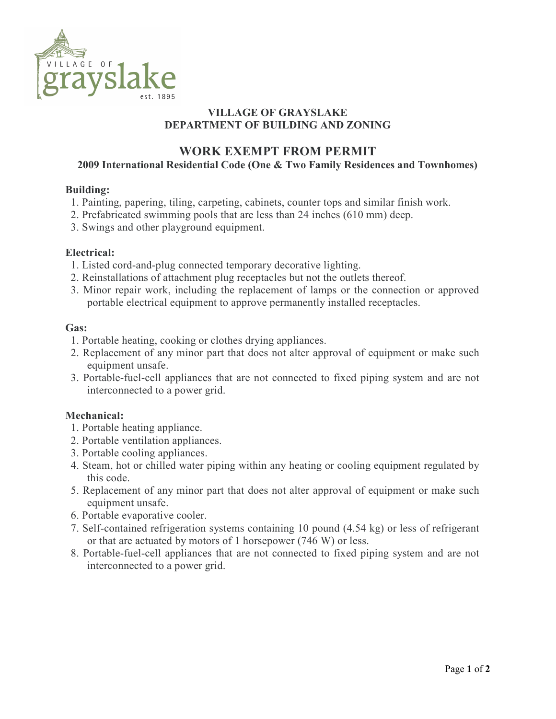

## VILLAGE OF GRAYSLAKE DEPARTMENT OF BUILDING AND ZONING

# WORK EXEMPT FROM PERMIT

### 2009 International Residential Code (One & Two Family Residences and Townhomes)

#### Building:

- 1. Painting, papering, tiling, carpeting, cabinets, counter tops and similar finish work.
- 2. Prefabricated swimming pools that are less than 24 inches (610 mm) deep.
- 3. Swings and other playground equipment.

#### Electrical:

- 1. Listed cord-and-plug connected temporary decorative lighting.
- 2. Reinstallations of attachment plug receptacles but not the outlets thereof.
- 3. Minor repair work, including the replacement of lamps or the connection or approved portable electrical equipment to approve permanently installed receptacles.

#### Gas:

- 1. Portable heating, cooking or clothes drying appliances.
- 2. Replacement of any minor part that does not alter approval of equipment or make such equipment unsafe.
- 3. Portable-fuel-cell appliances that are not connected to fixed piping system and are not interconnected to a power grid.

## Mechanical:

- 1. Portable heating appliance.
- 2. Portable ventilation appliances.
- 3. Portable cooling appliances.
- 4. Steam, hot or chilled water piping within any heating or cooling equipment regulated by this code.
- 5. Replacement of any minor part that does not alter approval of equipment or make such equipment unsafe.
- 6. Portable evaporative cooler.
- 7. Self-contained refrigeration systems containing 10 pound (4.54 kg) or less of refrigerant or that are actuated by motors of 1 horsepower (746 W) or less.
- 8. Portable-fuel-cell appliances that are not connected to fixed piping system and are not interconnected to a power grid.